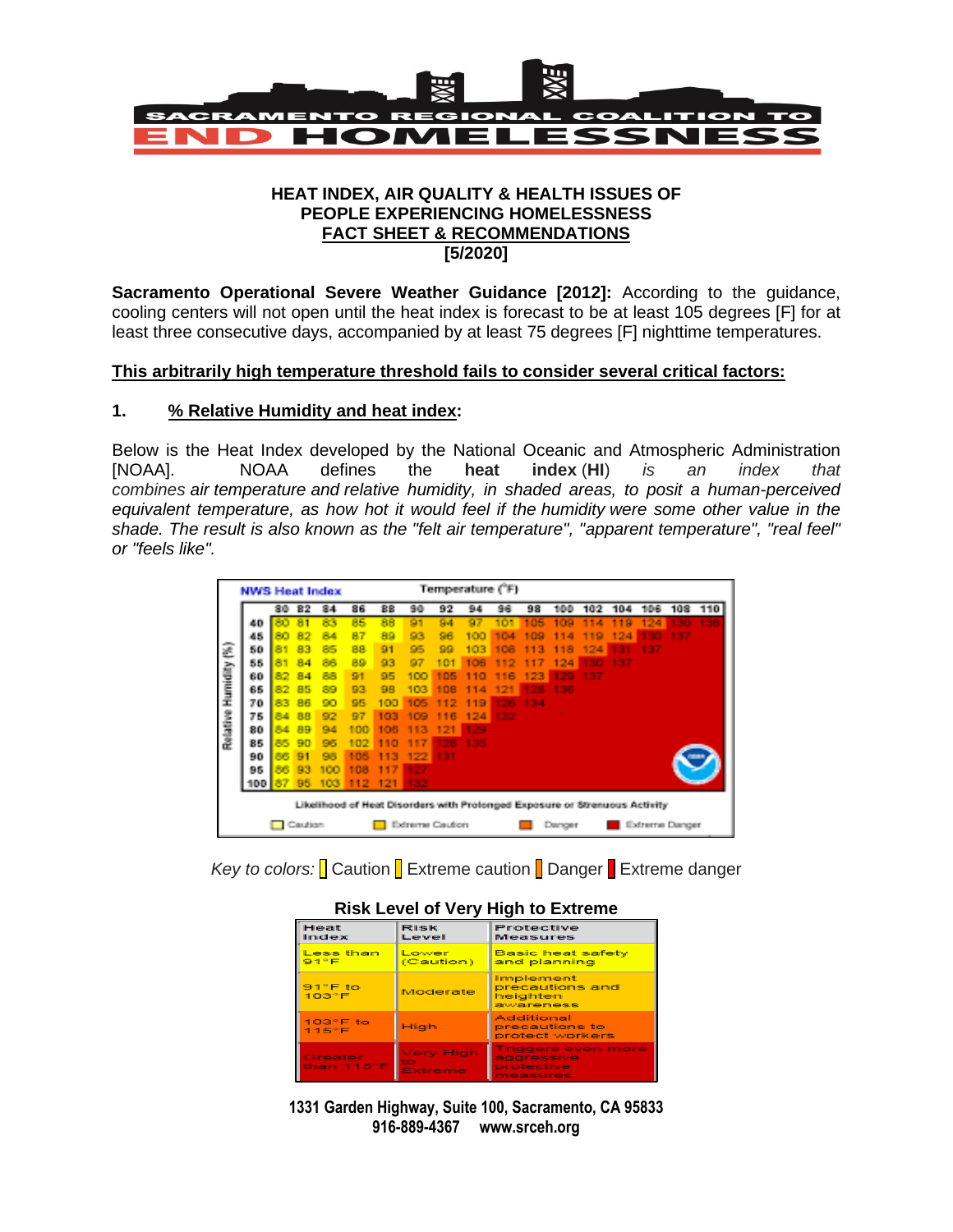

#### **HEAT INDEX, AIR QUALITY & HEALTH ISSUES OF PEOPLE EXPERIENCING HOMELESSNESS FACT SHEET & RECOMMENDATIONS [5/2020]**

**Sacramento Operational Severe Weather Guidance [2012]:** According to the guidance, cooling centers will not open until the heat index is forecast to be at least 105 degrees [F] for at least three consecutive days, accompanied by at least 75 degrees [F] nighttime temperatures.

### **This arbitrarily high temperature threshold fails to consider several critical factors:**

### **1. % Relative Humidity and heat index:**

Below is the Heat Index developed by the National Oceanic and Atmospheric Administration [NOAA]. NOAA defines the **heat index** (**HI**) *is an index that combines [air](https://en.wikipedia.org/wiki/Air) [temperature](https://en.wikipedia.org/wiki/Temperature) and [relative humidity,](https://en.wikipedia.org/wiki/Relative_humidity) in shaded areas, to posit a human-perceived equivalent temperature, as how hot it would feel if the [humidity](https://en.wikipedia.org/wiki/Humidity) were some other value in the shade. The result is also known as the "felt air temperature", ["apparent temperature"](https://en.wikipedia.org/wiki/Apparent_temperature), "real feel" or "feels like".*

|                                                                            | <b>NWS Heat Index</b> |     |    |     |     | Temperature (°F) |     |          |      |            |                          |     |           |     |     |       |     |
|----------------------------------------------------------------------------|-----------------------|-----|----|-----|-----|------------------|-----|----------|------|------------|--------------------------|-----|-----------|-----|-----|-------|-----|
|                                                                            |                       | 80  | 82 | 84  | 86  | 88               | 90  | 92       | 94   | 96         | 98                       | 100 | 102       | 104 | 106 | 108   | 110 |
|                                                                            | 40                    |     | 81 | 83  | 85  | 88               | 91  | 94       | 97   | 101        | 105                      | 109 | 11<br>×   | 19  | 124 | 12.00 |     |
|                                                                            | 45                    | яn  |    | 84  | 87  | 89               | 93  | 96       | 100  | 104        | 109                      | 114 | ۰<br>- 51 | 124 | 130 | 137   |     |
| ê                                                                          | 50                    |     | 83 | 85  | 88  | 91               | 95  | 99       | 103  | <b>TOB</b> | 113                      | 118 | 124       |     | 137 |       |     |
|                                                                            | 55                    |     | 84 | 88  | 89  | 93               | 97  | 101      | 106  | 112        | 1<br>٠                   | 124 | 130       | 137 |     |       |     |
|                                                                            | 60                    | 82  | 84 | 88  | 91  | 95               | 100 | 105<br>٠ | 110. | 116        | 123                      | 129 | 137       |     |     |       |     |
| Humidity<br>Relative                                                       | 65                    | 82. | 85 | 89  | 93  | 98               | 103 | пе       | 114  | œ          | 128                      | 135 |           |     |     |       |     |
|                                                                            | 70                    | 83. | 86 | 90. | 95  | 100              | 105 | 1<br>●   | 119  | 126        | 134                      |     |           |     |     |       |     |
|                                                                            | 75                    | 84  | 88 | 92  | 97  | 103              | 109 | 16       | 124  | 132        |                          |     |           |     |     |       |     |
|                                                                            | 80                    | 84  | 89 | 94  | 100 | 105              | 113 | 121      | 129  |            |                          |     |           |     |     |       |     |
|                                                                            | 85                    | 85. | 90 | 95  | 102 | 110              | 117 | 26       | 135  |            |                          |     |           |     |     |       |     |
|                                                                            | 90                    | 88  | 91 | 95  | 105 | 113              | 122 | 131      |      |            |                          |     |           |     |     |       |     |
|                                                                            | 95                    | 88  | 93 | 100 | 108 | 117              | 127 |          |      |            |                          |     |           |     |     |       |     |
|                                                                            | 100                   | 87  | 95 | 103 | 112 | 121              | 132 |          |      |            |                          |     |           |     |     |       |     |
| Likelihood of Heat Disorders with Prolonged Exposure or Strenuous Activity |                       |     |    |     |     |                  |     |          |      |            |                          |     |           |     |     |       |     |
|                                                                            | Caution               |     |    |     |     | Extreme Caution  |     |          |      |            | Extreme Danger<br>Danger |     |           |     |     |       |     |

*Key to colors:* Caution **Extreme caution Danger Extreme danger** 

| Heat<br>Index                    | <b>Risk</b><br>Level       | Protective<br>Measures                                            |  |  |  |  |  |  |
|----------------------------------|----------------------------|-------------------------------------------------------------------|--|--|--|--|--|--|
| Less than<br>91°F                | Lower<br>(Caution)         | <b>Basic heat safety</b><br>and planning                          |  |  |  |  |  |  |
| $91^\circ F$ to<br>$103^\circ F$ | Moderate                   | Implement<br>precautions and<br>heighten<br>awareness             |  |  |  |  |  |  |
| $103^\circ F$ to<br>115°F        | High                       | Additional<br>precautions to<br>protect workers                   |  |  |  |  |  |  |
| Greater<br>than 115°F            | Very High<br>to<br>Extreme | <b>Triggers even more</b><br>aggressive<br>protective<br>measures |  |  |  |  |  |  |

**1331 Garden Highway, Suite 100, Sacramento, CA 95833 916-889-4367 www.srceh.org**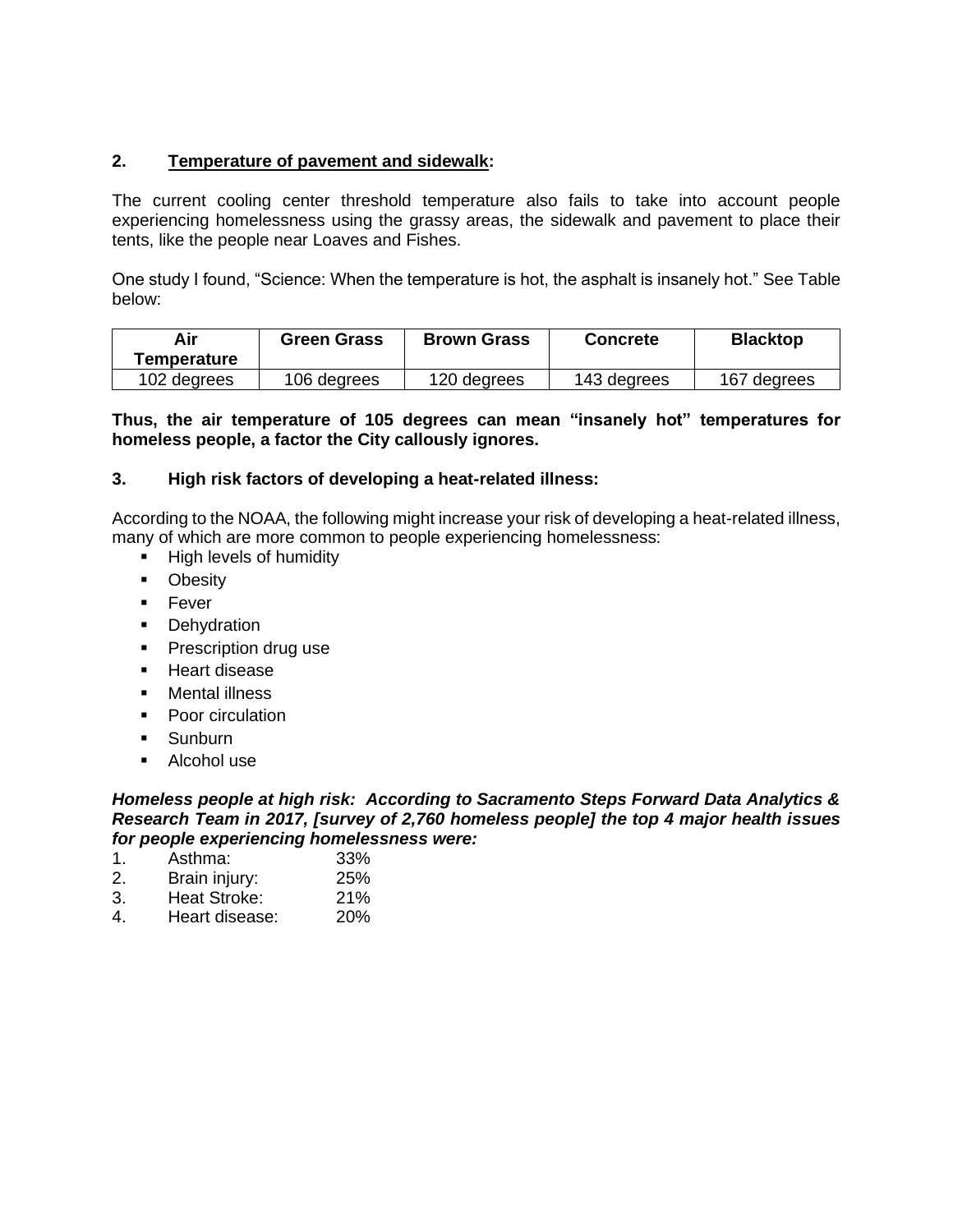## **2. Temperature of pavement and sidewalk:**

The current cooling center threshold temperature also fails to take into account people experiencing homelessness using the grassy areas, the sidewalk and pavement to place their tents, like the people near Loaves and Fishes.

One study I found, "Science: When the temperature is hot, the asphalt is insanely hot." See Table below:

| Air         | <b>Green Grass</b> | <b>Brown Grass</b> | <b>Concrete</b> | <b>Blacktop</b> |  |
|-------------|--------------------|--------------------|-----------------|-----------------|--|
| Temperature |                    |                    |                 |                 |  |
| 102 degrees | 106 degrees        | 120 degrees        | 143 degrees     | 167 degrees     |  |

**Thus, the air temperature of 105 degrees can mean "insanely hot" temperatures for homeless people, a factor the City callously ignores.**

### **3. High risk factors of developing a heat-related illness:**

According to the NOAA, the following might increase your risk of developing a heat-related illness, many of which are more common to people experiencing homelessness:

- High levels of humidity
- Obesity
- Fever
- **•** Dehydration
- **•** Prescription drug use
- Heart disease
- Mental illness
- Poor circulation
- **■** Sunburn
- Alcohol use

*Homeless people at high risk: According to Sacramento Steps Forward Data Analytics & Research Team in 2017, [survey of 2,760 homeless people] the top 4 major health issues for people experiencing homelessness were:*

- 1. Asthma: 33% 2. Brain injury: 25%
- 3. Heat Stroke: 21%
- 4. Heart disease: 20%